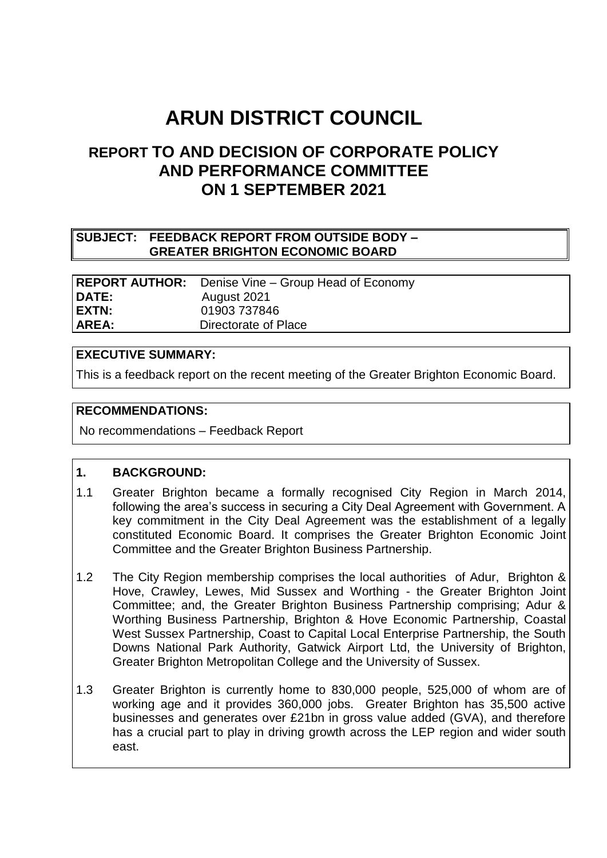# **ARUN DISTRICT COUNCIL**

# **REPORT TO AND DECISION OF CORPORATE POLICY AND PERFORMANCE COMMITTEE ON 1 SEPTEMBER 2021**

#### **SUBJECT: FEEDBACK REPORT FROM OUTSIDE BODY – GREATER BRIGHTON ECONOMIC BOARD**

**REPORT AUTHOR:** Denise Vine – Group Head of Economy **DATE:** August 2021 **EXTN:** 01903 737846 **AREA:** Directorate of Place

## **EXECUTIVE SUMMARY:**

This is a feedback report on the recent meeting of the Greater Brighton Economic Board.

#### **RECOMMENDATIONS:**

No recommendations – Feedback Report

#### **1. BACKGROUND:**

- 1.1 Greater Brighton became a formally recognised City Region in March 2014, following the area's success in securing a City Deal Agreement with Government. A key commitment in the City Deal Agreement was the establishment of a legally constituted Economic Board. It comprises the Greater Brighton Economic Joint Committee and the Greater Brighton Business Partnership.
- 1.2 The City Region membership comprises the local authorities of Adur, Brighton & Hove, Crawley, Lewes, Mid Sussex and Worthing - the Greater Brighton Joint Committee; and, the Greater Brighton Business Partnership comprising; Adur & Worthing Business Partnership, Brighton & Hove Economic Partnership, Coastal West Sussex Partnership, Coast to Capital Local Enterprise Partnership, the South Downs National Park Authority, Gatwick Airport Ltd, the University of Brighton, Greater Brighton Metropolitan College and the University of Sussex.
- 1.3 Greater Brighton is currently home to 830,000 people, 525,000 of whom are of working age and it provides 360,000 jobs. Greater Brighton has 35,500 active businesses and generates over £21bn in gross value added (GVA), and therefore has a crucial part to play in driving growth across the LEP region and wider south east.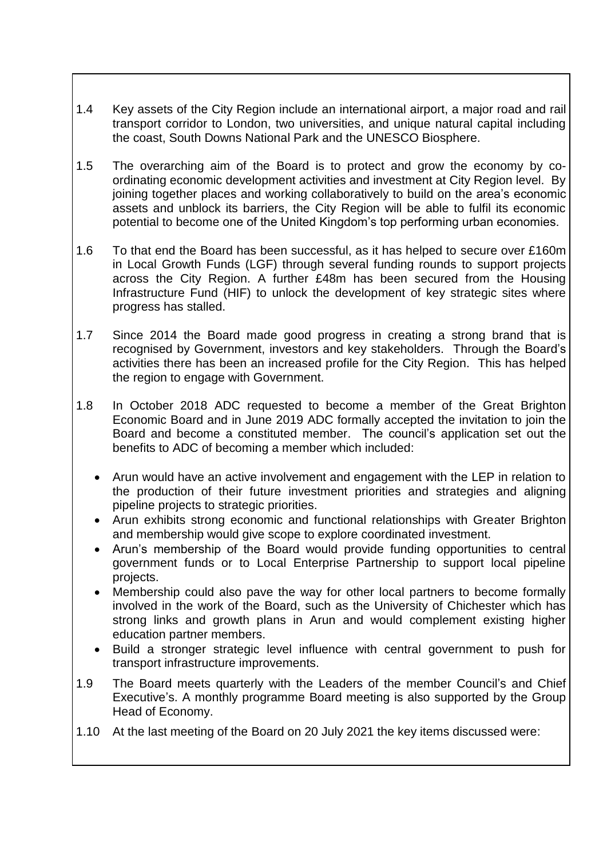- 1.4 Key assets of the City Region include an international airport, a major road and rail transport corridor to London, two universities, and unique natural capital including the coast, South Downs National Park and the UNESCO Biosphere.
- 1.5 The overarching aim of the Board is to protect and grow the economy by coordinating economic development activities and investment at City Region level. By joining together places and working collaboratively to build on the area's economic assets and unblock its barriers, the City Region will be able to fulfil its economic potential to become one of the United Kingdom's top performing urban economies.
- 1.6 To that end the Board has been successful, as it has helped to secure over £160m in Local Growth Funds (LGF) through several funding rounds to support projects across the City Region. A further £48m has been secured from the Housing Infrastructure Fund (HIF) to unlock the development of key strategic sites where progress has stalled.
- 1.7 Since 2014 the Board made good progress in creating a strong brand that is recognised by Government, investors and key stakeholders. Through the Board's activities there has been an increased profile for the City Region. This has helped the region to engage with Government.
- 1.8 In October 2018 ADC requested to become a member of the Great Brighton Economic Board and in June 2019 ADC formally accepted the invitation to join the Board and become a constituted member. The council's application set out the benefits to ADC of becoming a member which included:
	- Arun would have an active involvement and engagement with the LEP in relation to the production of their future investment priorities and strategies and aligning pipeline projects to strategic priorities.
	- Arun exhibits strong economic and functional relationships with Greater Brighton and membership would give scope to explore coordinated investment.
	- Arun's membership of the Board would provide funding opportunities to central government funds or to Local Enterprise Partnership to support local pipeline projects.
	- Membership could also pave the way for other local partners to become formally involved in the work of the Board, such as the University of Chichester which has strong links and growth plans in Arun and would complement existing higher education partner members.
	- Build a stronger strategic level influence with central government to push for transport infrastructure improvements.
- 1.9 The Board meets quarterly with the Leaders of the member Council's and Chief Executive's. A monthly programme Board meeting is also supported by the Group Head of Economy.
- 1.10 At the last meeting of the Board on 20 July 2021 the key items discussed were: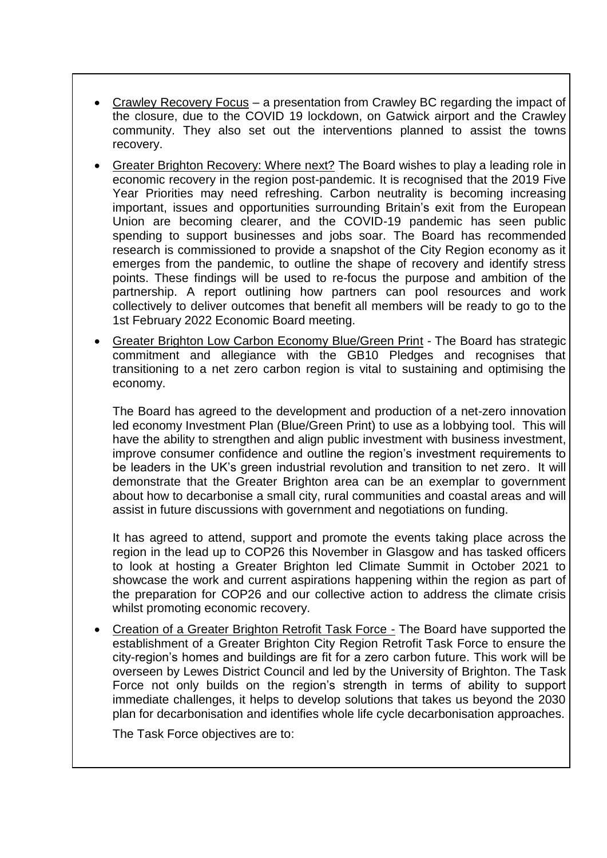- Crawley Recovery Focus a presentation from Crawley BC regarding the impact of the closure, due to the COVID 19 lockdown, on Gatwick airport and the Crawley community. They also set out the interventions planned to assist the towns recovery.
- Greater Brighton Recovery: Where next? The Board wishes to play a leading role in economic recovery in the region post-pandemic. It is recognised that the 2019 Five Year Priorities may need refreshing. Carbon neutrality is becoming increasing important, issues and opportunities surrounding Britain's exit from the European Union are becoming clearer, and the COVID-19 pandemic has seen public spending to support businesses and jobs soar. The Board has recommended research is commissioned to provide a snapshot of the City Region economy as it emerges from the pandemic, to outline the shape of recovery and identify stress points. These findings will be used to re-focus the purpose and ambition of the partnership. A report outlining how partners can pool resources and work collectively to deliver outcomes that benefit all members will be ready to go to the 1st February 2022 Economic Board meeting.
- Greater Brighton Low Carbon Economy Blue/Green Print The Board has strategic commitment and allegiance with the GB10 Pledges and recognises that transitioning to a net zero carbon region is vital to sustaining and optimising the economy.

The Board has agreed to the development and production of a net-zero innovation led economy Investment Plan (Blue/Green Print) to use as a lobbying tool. This will have the ability to strengthen and align public investment with business investment, improve consumer confidence and outline the region's investment requirements to be leaders in the UK's green industrial revolution and transition to net zero. It will demonstrate that the Greater Brighton area can be an exemplar to government about how to decarbonise a small city, rural communities and coastal areas and will assist in future discussions with government and negotiations on funding.

It has agreed to attend, support and promote the events taking place across the region in the lead up to COP26 this November in Glasgow and has tasked officers to look at hosting a Greater Brighton led Climate Summit in October 2021 to showcase the work and current aspirations happening within the region as part of the preparation for COP26 and our collective action to address the climate crisis whilst promoting economic recovery.

 Creation of a Greater Brighton Retrofit Task Force - The Board have supported the establishment of a Greater Brighton City Region Retrofit Task Force to ensure the city-region's homes and buildings are fit for a zero carbon future. This work will be overseen by Lewes District Council and led by the University of Brighton. The Task Force not only builds on the region's strength in terms of ability to support immediate challenges, it helps to develop solutions that takes us beyond the 2030 plan for decarbonisation and identifies whole life cycle decarbonisation approaches.

The Task Force objectives are to: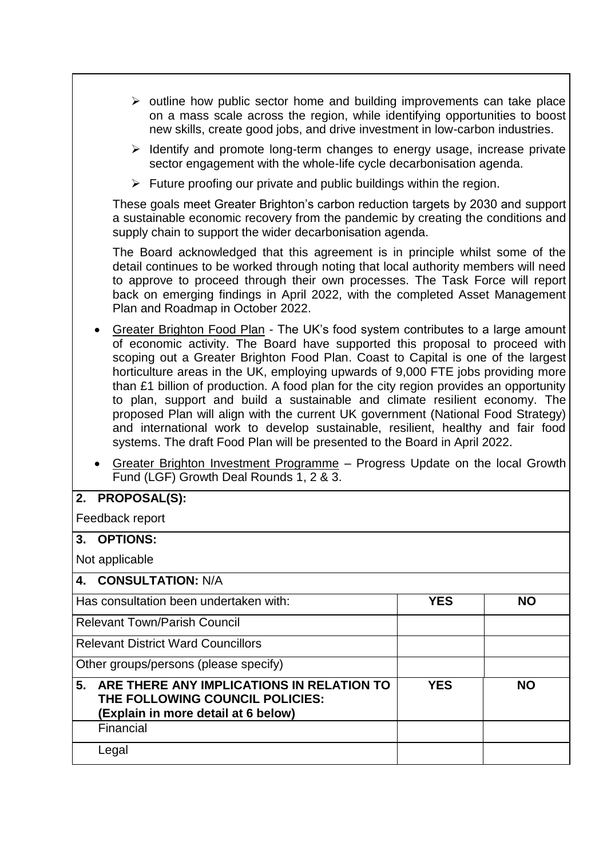- $\triangleright$  outline how public sector home and building improvements can take place on a mass scale across the region, while identifying opportunities to boost new skills, create good jobs, and drive investment in low-carbon industries.
- $\triangleright$  Identify and promote long-term changes to energy usage, increase private sector engagement with the whole-life cycle decarbonisation agenda.
- $\triangleright$  Future proofing our private and public buildings within the region.

These goals meet Greater Brighton's carbon reduction targets by 2030 and support a sustainable economic recovery from the pandemic by creating the conditions and supply chain to support the wider decarbonisation agenda.

The Board acknowledged that this agreement is in principle whilst some of the detail continues to be worked through noting that local authority members will need to approve to proceed through their own processes. The Task Force will report back on emerging findings in April 2022, with the completed Asset Management Plan and Roadmap in October 2022.

- Greater Brighton Food Plan The UK's food system contributes to a large amount of economic activity. The Board have supported this proposal to proceed with scoping out a Greater Brighton Food Plan. Coast to Capital is one of the largest horticulture areas in the UK, employing upwards of 9,000 FTE jobs providing more than £1 billion of production. A food plan for the city region provides an opportunity to plan, support and build a sustainable and climate resilient economy. The proposed Plan will align with the current UK government (National Food Strategy) and international work to develop sustainable, resilient, healthy and fair food systems. The draft Food Plan will be presented to the Board in April 2022.
- Greater Brighton Investment Programme Progress Update on the local Growth Fund (LGF) Growth Deal Rounds 1, 2 & 3.

## **2. PROPOSAL(S):**

Feedback report

## **3. OPTIONS:**

Not applicable

Financial

Legal

| ι νυι αρριπανισ                                                                                                        |            |           |
|------------------------------------------------------------------------------------------------------------------------|------------|-----------|
| 4. CONSULTATION: N/A                                                                                                   |            |           |
| Has consultation been undertaken with:                                                                                 | <b>YES</b> | <b>NO</b> |
| Relevant Town/Parish Council                                                                                           |            |           |
| <b>Relevant District Ward Councillors</b>                                                                              |            |           |
| Other groups/persons (please specify)                                                                                  |            |           |
| 5. ARE THERE ANY IMPLICATIONS IN RELATION TO<br>THE FOLLOWING COUNCIL POLICIES:<br>(Explain in more detail at 6 below) | <b>YES</b> | <b>NO</b> |